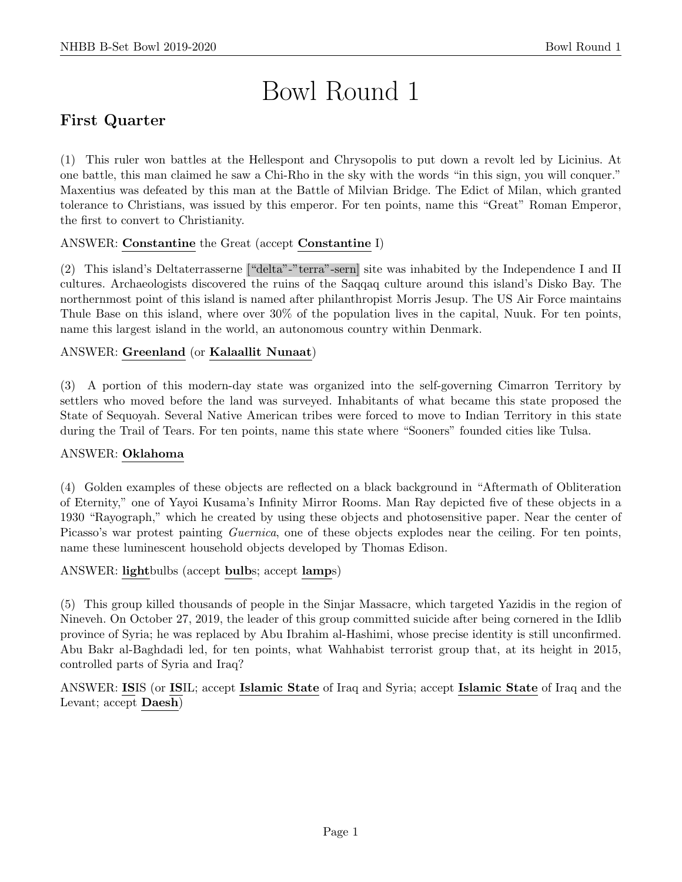# Bowl Round 1

# First Quarter

(1) This ruler won battles at the Hellespont and Chrysopolis to put down a revolt led by Licinius. At one battle, this man claimed he saw a Chi-Rho in the sky with the words "in this sign, you will conquer." Maxentius was defeated by this man at the Battle of Milvian Bridge. The Edict of Milan, which granted tolerance to Christians, was issued by this emperor. For ten points, name this "Great" Roman Emperor, the first to convert to Christianity.

# ANSWER: Constantine the Great (accept Constantine I)

(2) This island's Deltaterrasserne ["delta"-"terra"-sern] site was inhabited by the Independence I and II cultures. Archaeologists discovered the ruins of the Saqqaq culture around this island's Disko Bay. The northernmost point of this island is named after philanthropist Morris Jesup. The US Air Force maintains Thule Base on this island, where over 30% of the population lives in the capital, Nuuk. For ten points, name this largest island in the world, an autonomous country within Denmark.

# ANSWER: Greenland (or Kalaallit Nunaat)

(3) A portion of this modern-day state was organized into the self-governing Cimarron Territory by settlers who moved before the land was surveyed. Inhabitants of what became this state proposed the State of Sequoyah. Several Native American tribes were forced to move to Indian Territory in this state during the Trail of Tears. For ten points, name this state where "Sooners" founded cities like Tulsa.

#### ANSWER: Oklahoma

(4) Golden examples of these objects are reflected on a black background in "Aftermath of Obliteration of Eternity," one of Yayoi Kusama's Infinity Mirror Rooms. Man Ray depicted five of these objects in a 1930 "Rayograph," which he created by using these objects and photosensitive paper. Near the center of Picasso's war protest painting *Guernica*, one of these objects explodes near the ceiling. For ten points, name these luminescent household objects developed by Thomas Edison.

ANSWER: lightbulbs (accept bulbs; accept lamps)

(5) This group killed thousands of people in the Sinjar Massacre, which targeted Yazidis in the region of Nineveh. On October 27, 2019, the leader of this group committed suicide after being cornered in the Idlib province of Syria; he was replaced by Abu Ibrahim al-Hashimi, whose precise identity is still unconfirmed. Abu Bakr al-Baghdadi led, for ten points, what Wahhabist terrorist group that, at its height in 2015, controlled parts of Syria and Iraq?

ANSWER: ISIS (or ISIL; accept Islamic State of Iraq and Syria; accept Islamic State of Iraq and the Levant; accept Daesh)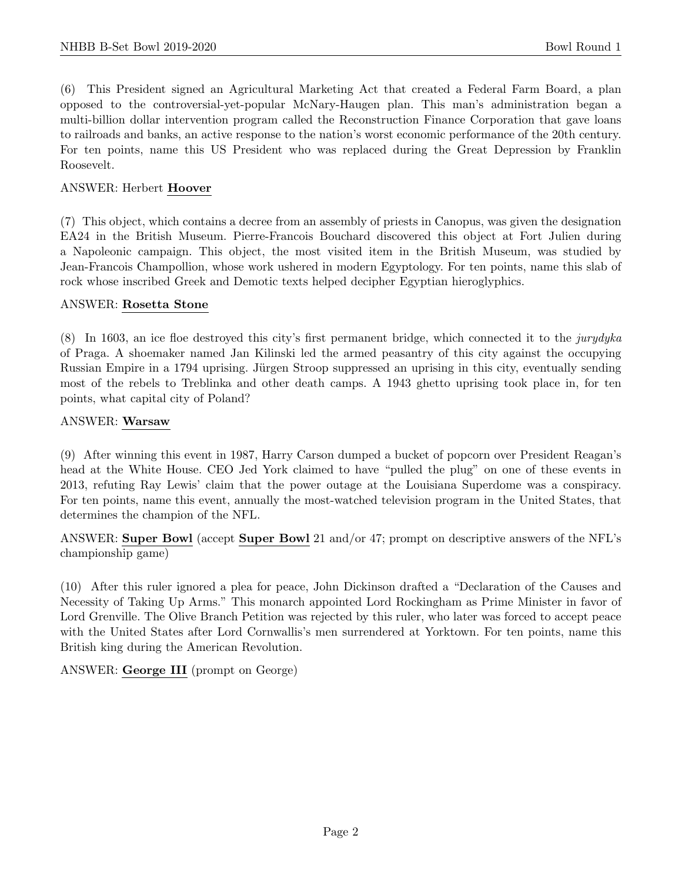(6) This President signed an Agricultural Marketing Act that created a Federal Farm Board, a plan opposed to the controversial-yet-popular McNary-Haugen plan. This man's administration began a multi-billion dollar intervention program called the Reconstruction Finance Corporation that gave loans to railroads and banks, an active response to the nation's worst economic performance of the 20th century. For ten points, name this US President who was replaced during the Great Depression by Franklin Roosevelt.

#### ANSWER: Herbert Hoover

(7) This object, which contains a decree from an assembly of priests in Canopus, was given the designation EA24 in the British Museum. Pierre-Francois Bouchard discovered this object at Fort Julien during a Napoleonic campaign. This object, the most visited item in the British Museum, was studied by Jean-Francois Champollion, whose work ushered in modern Egyptology. For ten points, name this slab of rock whose inscribed Greek and Demotic texts helped decipher Egyptian hieroglyphics.

#### ANSWER: Rosetta Stone

(8) In 1603, an ice floe destroyed this city's first permanent bridge, which connected it to the jurydyka of Praga. A shoemaker named Jan Kilinski led the armed peasantry of this city against the occupying Russian Empire in a 1794 uprising. Jürgen Stroop suppressed an uprising in this city, eventually sending most of the rebels to Treblinka and other death camps. A 1943 ghetto uprising took place in, for ten points, what capital city of Poland?

#### ANSWER: Warsaw

(9) After winning this event in 1987, Harry Carson dumped a bucket of popcorn over President Reagan's head at the White House. CEO Jed York claimed to have "pulled the plug" on one of these events in 2013, refuting Ray Lewis' claim that the power outage at the Louisiana Superdome was a conspiracy. For ten points, name this event, annually the most-watched television program in the United States, that determines the champion of the NFL.

ANSWER: Super Bowl (accept Super Bowl 21 and/or 47; prompt on descriptive answers of the NFL's championship game)

(10) After this ruler ignored a plea for peace, John Dickinson drafted a "Declaration of the Causes and Necessity of Taking Up Arms." This monarch appointed Lord Rockingham as Prime Minister in favor of Lord Grenville. The Olive Branch Petition was rejected by this ruler, who later was forced to accept peace with the United States after Lord Cornwallis's men surrendered at Yorktown. For ten points, name this British king during the American Revolution.

ANSWER: George III (prompt on George)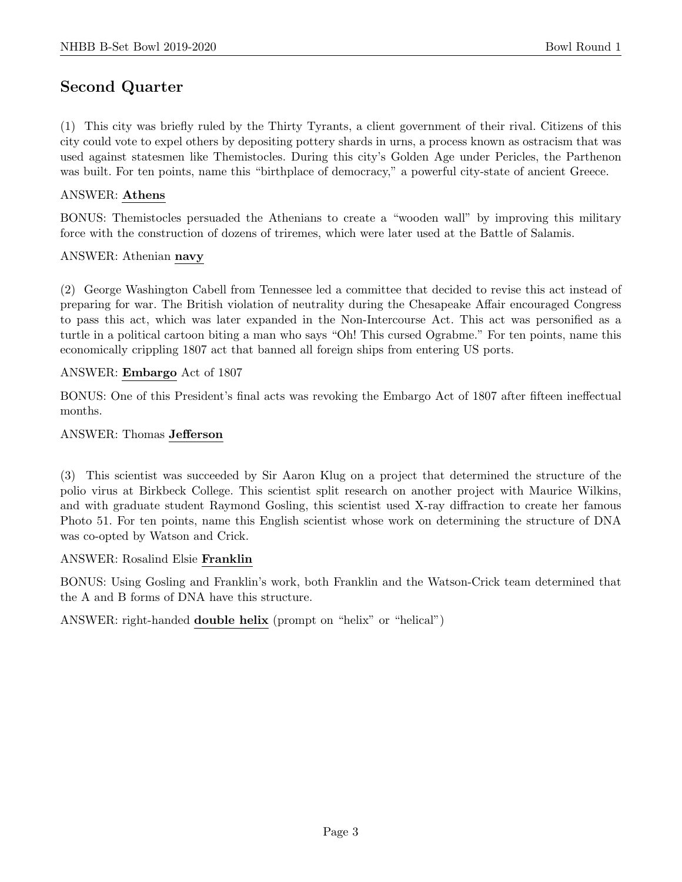# Second Quarter

(1) This city was briefly ruled by the Thirty Tyrants, a client government of their rival. Citizens of this city could vote to expel others by depositing pottery shards in urns, a process known as ostracism that was used against statesmen like Themistocles. During this city's Golden Age under Pericles, the Parthenon was built. For ten points, name this "birthplace of democracy," a powerful city-state of ancient Greece.

#### ANSWER: Athens

BONUS: Themistocles persuaded the Athenians to create a "wooden wall" by improving this military force with the construction of dozens of triremes, which were later used at the Battle of Salamis.

#### ANSWER: Athenian navy

(2) George Washington Cabell from Tennessee led a committee that decided to revise this act instead of preparing for war. The British violation of neutrality during the Chesapeake Affair encouraged Congress to pass this act, which was later expanded in the Non-Intercourse Act. This act was personified as a turtle in a political cartoon biting a man who says "Oh! This cursed Ograbme." For ten points, name this economically crippling 1807 act that banned all foreign ships from entering US ports.

#### ANSWER: Embargo Act of 1807

BONUS: One of this President's final acts was revoking the Embargo Act of 1807 after fifteen ineffectual months.

#### ANSWER: Thomas Jefferson

(3) This scientist was succeeded by Sir Aaron Klug on a project that determined the structure of the polio virus at Birkbeck College. This scientist split research on another project with Maurice Wilkins, and with graduate student Raymond Gosling, this scientist used X-ray diffraction to create her famous Photo 51. For ten points, name this English scientist whose work on determining the structure of DNA was co-opted by Watson and Crick.

#### ANSWER: Rosalind Elsie Franklin

BONUS: Using Gosling and Franklin's work, both Franklin and the Watson-Crick team determined that the A and B forms of DNA have this structure.

ANSWER: right-handed double helix (prompt on "helix" or "helical")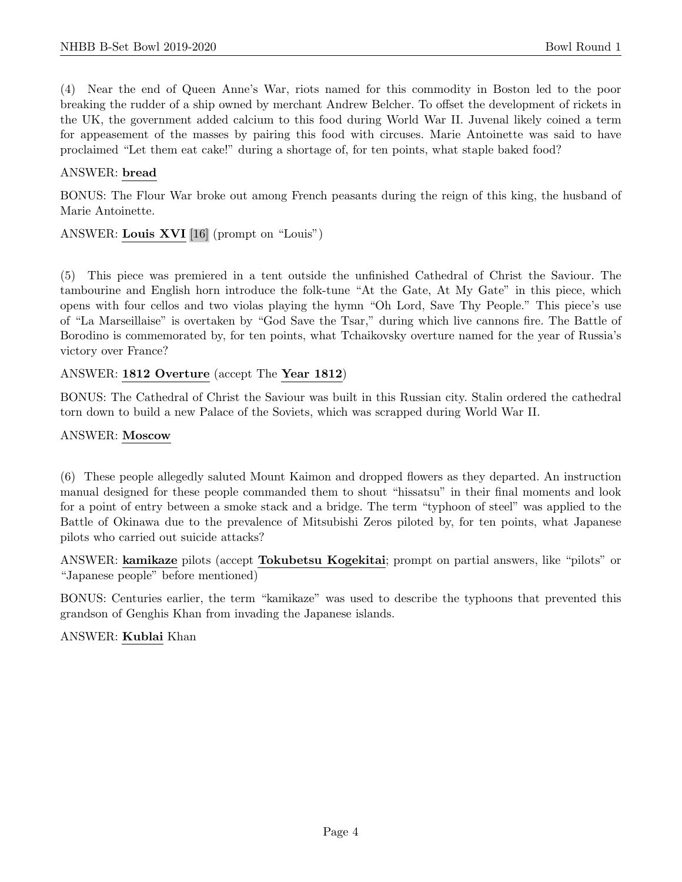(4) Near the end of Queen Anne's War, riots named for this commodity in Boston led to the poor breaking the rudder of a ship owned by merchant Andrew Belcher. To offset the development of rickets in the UK, the government added calcium to this food during World War II. Juvenal likely coined a term for appeasement of the masses by pairing this food with circuses. Marie Antoinette was said to have proclaimed "Let them eat cake!" during a shortage of, for ten points, what staple baked food?

#### ANSWER: bread

BONUS: The Flour War broke out among French peasants during the reign of this king, the husband of Marie Antoinette.

ANSWER: Louis XVI [16] (prompt on "Louis")

(5) This piece was premiered in a tent outside the unfinished Cathedral of Christ the Saviour. The tambourine and English horn introduce the folk-tune "At the Gate, At My Gate" in this piece, which opens with four cellos and two violas playing the hymn "Oh Lord, Save Thy People." This piece's use of "La Marseillaise" is overtaken by "God Save the Tsar," during which live cannons fire. The Battle of Borodino is commemorated by, for ten points, what Tchaikovsky overture named for the year of Russia's victory over France?

#### ANSWER: 1812 Overture (accept The Year 1812)

BONUS: The Cathedral of Christ the Saviour was built in this Russian city. Stalin ordered the cathedral torn down to build a new Palace of the Soviets, which was scrapped during World War II.

#### ANSWER: Moscow

(6) These people allegedly saluted Mount Kaimon and dropped flowers as they departed. An instruction manual designed for these people commanded them to shout "hissatsu" in their final moments and look for a point of entry between a smoke stack and a bridge. The term "typhoon of steel" was applied to the Battle of Okinawa due to the prevalence of Mitsubishi Zeros piloted by, for ten points, what Japanese pilots who carried out suicide attacks?

ANSWER: kamikaze pilots (accept Tokubetsu Kogekitai; prompt on partial answers, like "pilots" or "Japanese people" before mentioned)

BONUS: Centuries earlier, the term "kamikaze" was used to describe the typhoons that prevented this grandson of Genghis Khan from invading the Japanese islands.

#### ANSWER: Kublai Khan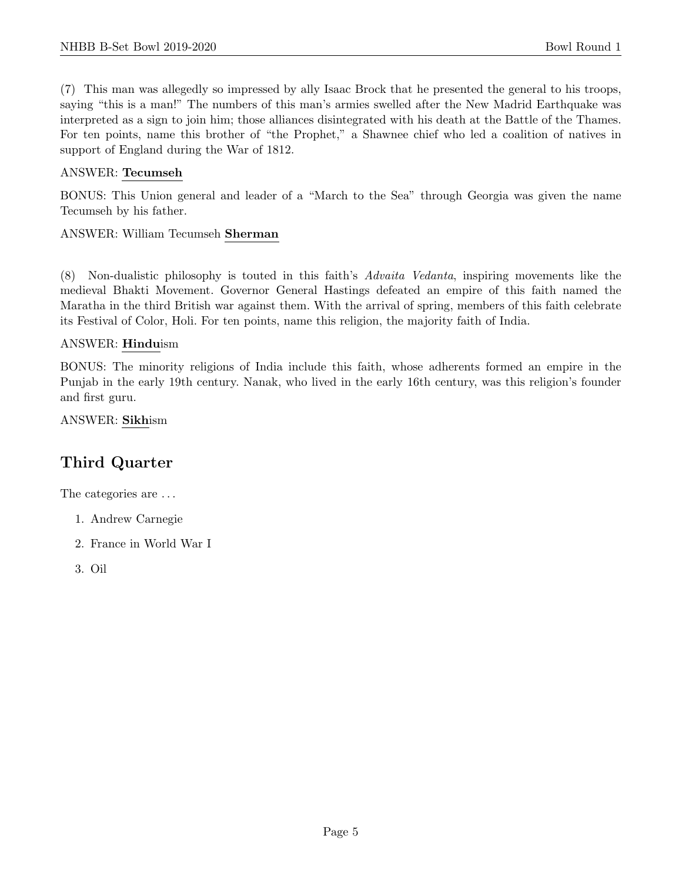(7) This man was allegedly so impressed by ally Isaac Brock that he presented the general to his troops, saying "this is a man!" The numbers of this man's armies swelled after the New Madrid Earthquake was interpreted as a sign to join him; those alliances disintegrated with his death at the Battle of the Thames. For ten points, name this brother of "the Prophet," a Shawnee chief who led a coalition of natives in support of England during the War of 1812.

#### ANSWER: Tecumseh

BONUS: This Union general and leader of a "March to the Sea" through Georgia was given the name Tecumseh by his father.

#### ANSWER: William Tecumseh Sherman

(8) Non-dualistic philosophy is touted in this faith's Advaita Vedanta, inspiring movements like the medieval Bhakti Movement. Governor General Hastings defeated an empire of this faith named the Maratha in the third British war against them. With the arrival of spring, members of this faith celebrate its Festival of Color, Holi. For ten points, name this religion, the majority faith of India.

#### ANSWER: Hinduism

BONUS: The minority religions of India include this faith, whose adherents formed an empire in the Punjab in the early 19th century. Nanak, who lived in the early 16th century, was this religion's founder and first guru.

ANSWER: Sikhism

# Third Quarter

The categories are  $\dots$ 

- 1. Andrew Carnegie
- 2. France in World War I
- 3. Oil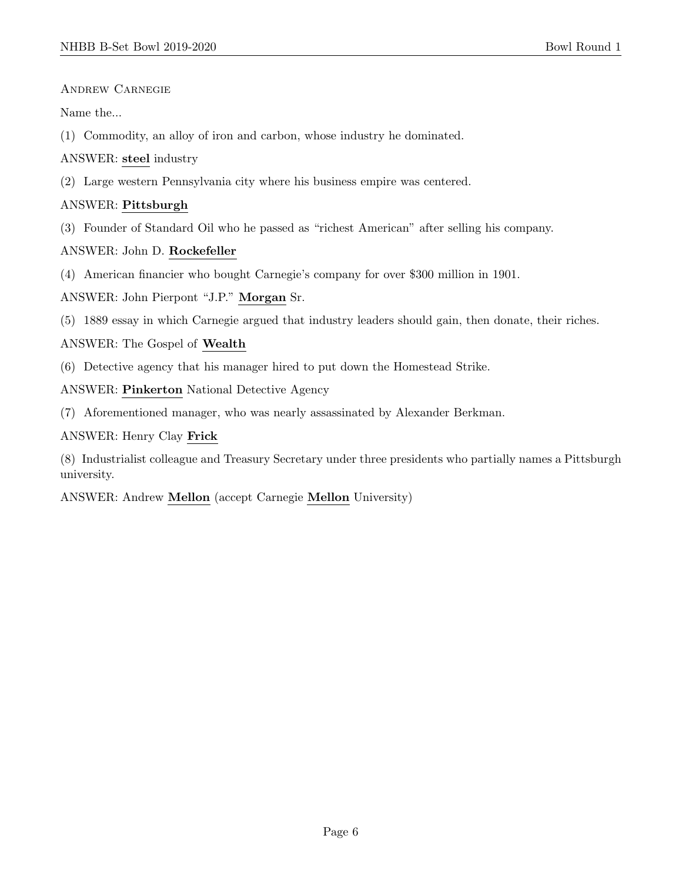Andrew Carnegie

Name the...

(1) Commodity, an alloy of iron and carbon, whose industry he dominated.

ANSWER: steel industry

(2) Large western Pennsylvania city where his business empire was centered.

#### ANSWER: Pittsburgh

(3) Founder of Standard Oil who he passed as "richest American" after selling his company.

ANSWER: John D. Rockefeller

(4) American financier who bought Carnegie's company for over \$300 million in 1901.

ANSWER: John Pierpont "J.P." Morgan Sr.

(5) 1889 essay in which Carnegie argued that industry leaders should gain, then donate, their riches.

ANSWER: The Gospel of Wealth

(6) Detective agency that his manager hired to put down the Homestead Strike.

ANSWER: Pinkerton National Detective Agency

(7) Aforementioned manager, who was nearly assassinated by Alexander Berkman.

ANSWER: Henry Clay Frick

(8) Industrialist colleague and Treasury Secretary under three presidents who partially names a Pittsburgh university.

ANSWER: Andrew Mellon (accept Carnegie Mellon University)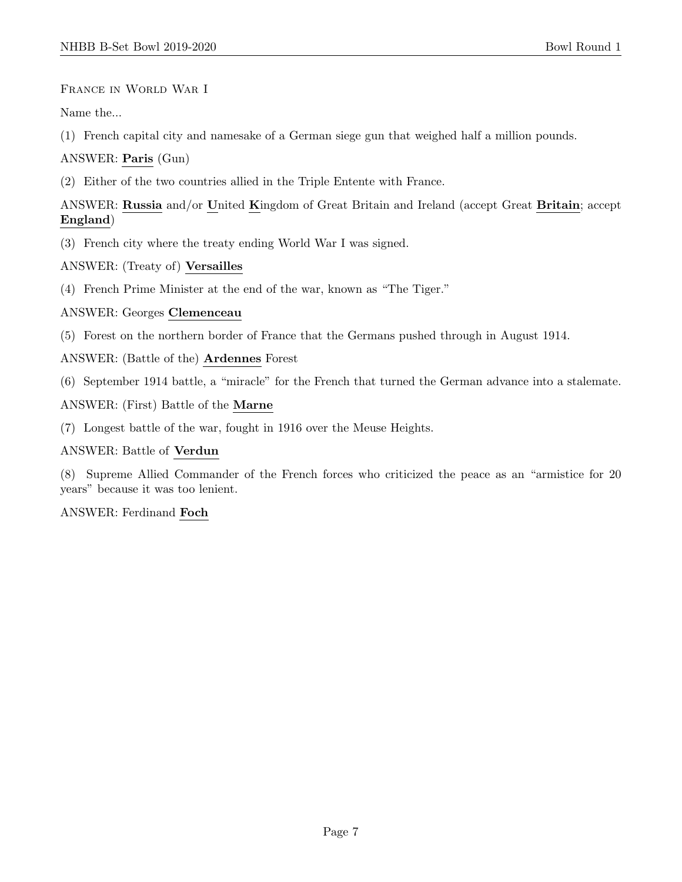France in World War I

Name the...

(1) French capital city and namesake of a German siege gun that weighed half a million pounds.

ANSWER: Paris (Gun)

(2) Either of the two countries allied in the Triple Entente with France.

ANSWER: Russia and/or United Kingdom of Great Britain and Ireland (accept Great Britain; accept England)

(3) French city where the treaty ending World War I was signed.

ANSWER: (Treaty of) Versailles

(4) French Prime Minister at the end of the war, known as "The Tiger."

ANSWER: Georges Clemenceau

(5) Forest on the northern border of France that the Germans pushed through in August 1914.

ANSWER: (Battle of the) Ardennes Forest

(6) September 1914 battle, a "miracle" for the French that turned the German advance into a stalemate.

ANSWER: (First) Battle of the Marne

(7) Longest battle of the war, fought in 1916 over the Meuse Heights.

ANSWER: Battle of Verdun

(8) Supreme Allied Commander of the French forces who criticized the peace as an "armistice for 20 years" because it was too lenient.

ANSWER: Ferdinand Foch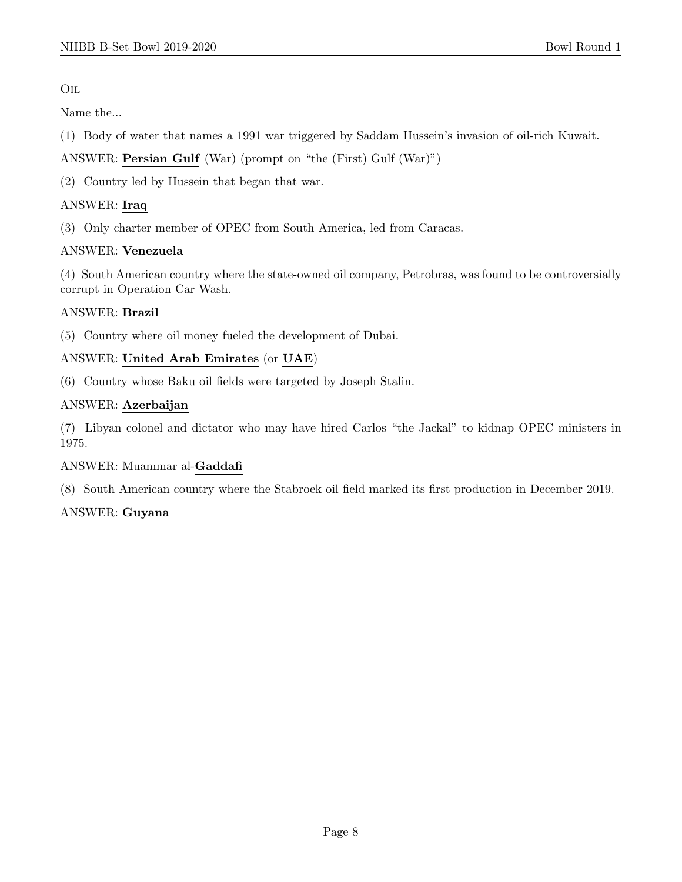#### Oil

Name the...

- (1) Body of water that names a 1991 war triggered by Saddam Hussein's invasion of oil-rich Kuwait.
- ANSWER: Persian Gulf (War) (prompt on "the (First) Gulf (War)")
- (2) Country led by Hussein that began that war.

## ANSWER: Iraq

(3) Only charter member of OPEC from South America, led from Caracas.

## ANSWER: Venezuela

(4) South American country where the state-owned oil company, Petrobras, was found to be controversially corrupt in Operation Car Wash.

## ANSWER: Brazil

(5) Country where oil money fueled the development of Dubai.

## ANSWER: United Arab Emirates (or UAE)

(6) Country whose Baku oil fields were targeted by Joseph Stalin.

## ANSWER: Azerbaijan

(7) Libyan colonel and dictator who may have hired Carlos "the Jackal" to kidnap OPEC ministers in 1975.

#### ANSWER: Muammar al-Gaddafi

(8) South American country where the Stabroek oil field marked its first production in December 2019.

# ANSWER: Guyana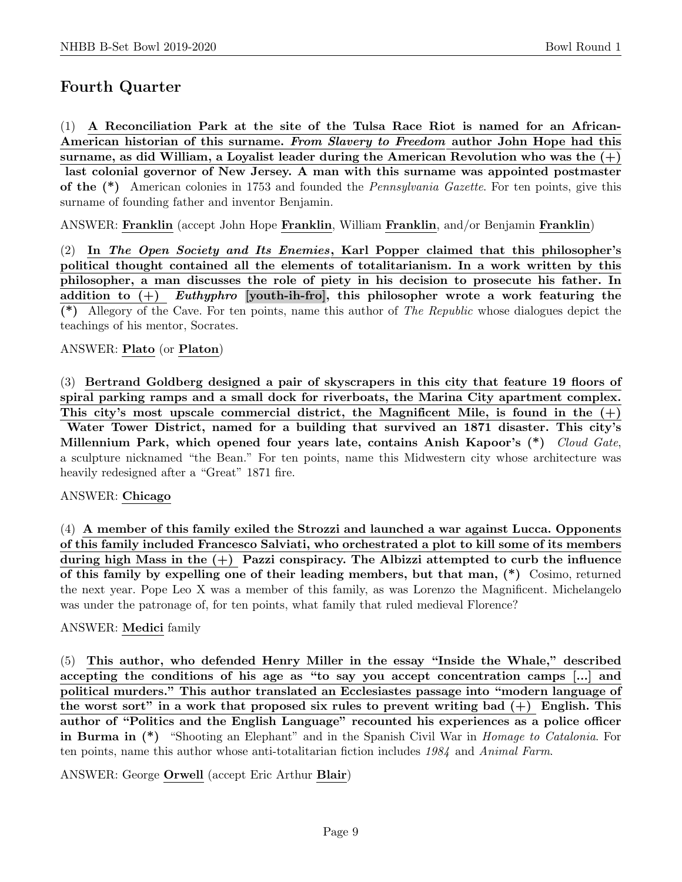# Fourth Quarter

(1) A Reconciliation Park at the site of the Tulsa Race Riot is named for an African-American historian of this surname. From Slavery to Freedom author John Hope had this surname, as did William, a Loyalist leader during the American Revolution who was the  $(+)$ last colonial governor of New Jersey. A man with this surname was appointed postmaster of the (\*) American colonies in 1753 and founded the Pennsylvania Gazette. For ten points, give this surname of founding father and inventor Benjamin.

ANSWER: Franklin (accept John Hope Franklin, William Franklin, and/or Benjamin Franklin)

(2) In The Open Society and Its Enemies, Karl Popper claimed that this philosopher's political thought contained all the elements of totalitarianism. In a work written by this philosopher, a man discusses the role of piety in his decision to prosecute his father. In addition to  $(+)$  Euthyphro [youth-ih-fro], this philosopher wrote a work featuring the (\*) Allegory of the Cave. For ten points, name this author of The Republic whose dialogues depict the teachings of his mentor, Socrates.

#### ANSWER: Plato (or Platon)

(3) Bertrand Goldberg designed a pair of skyscrapers in this city that feature 19 floors of spiral parking ramps and a small dock for riverboats, the Marina City apartment complex. This city's most upscale commercial district, the Magnificent Mile, is found in the  $(+)$ Water Tower District, named for a building that survived an 1871 disaster. This city's Millennium Park, which opened four years late, contains Anish Kapoor's (\*) Cloud Gate, a sculpture nicknamed "the Bean." For ten points, name this Midwestern city whose architecture was

heavily redesigned after a "Great" 1871 fire.

#### ANSWER: Chicago

(4) A member of this family exiled the Strozzi and launched a war against Lucca. Opponents of this family included Francesco Salviati, who orchestrated a plot to kill some of its members during high Mass in the  $(+)$  Pazzi conspiracy. The Albizzi attempted to curb the influence of this family by expelling one of their leading members, but that man, (\*) Cosimo, returned the next year. Pope Leo X was a member of this family, as was Lorenzo the Magnificent. Michelangelo was under the patronage of, for ten points, what family that ruled medieval Florence?

#### ANSWER: Medici family

(5) This author, who defended Henry Miller in the essay "Inside the Whale," described accepting the conditions of his age as "to say you accept concentration camps [...] and political murders." This author translated an Ecclesiastes passage into "modern language of the worst sort" in a work that proposed six rules to prevent writing bad  $(+)$  English. This author of "Politics and the English Language" recounted his experiences as a police officer in Burma in (\*) "Shooting an Elephant" and in the Spanish Civil War in *Homage to Catalonia*. For ten points, name this author whose anti-totalitarian fiction includes 1984 and Animal Farm.

ANSWER: George Orwell (accept Eric Arthur Blair)